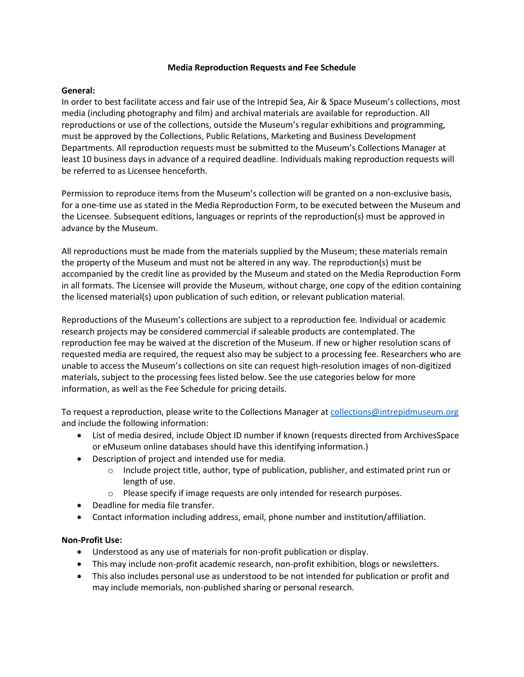#### **Media Reproduction Requests and Fee Schedule**

### **General:**

In order to best facilitate access and fair use of the Intrepid Sea, Air & Space Museum's collections, most media (including photography and film) and archival materials are available for reproduction. All reproductions or use of the collections, outside the Museum's regular exhibitions and programming, must be approved by the Collections, Public Relations, Marketing and Business Development Departments. All reproduction requests must be submitted to the Museum's Collections Manager at least 10 business days in advance of a required deadline. Individuals making reproduction requests will be referred to as Licensee henceforth.

Permission to reproduce items from the Museum's collection will be granted on a non-exclusive basis, for a one-time use as stated in the Media Reproduction Form, to be executed between the Museum and the Licensee. Subsequent editions, languages or reprints of the reproduction(s) must be approved in advance by the Museum.

All reproductions must be made from the materials supplied by the Museum; these materials remain the property of the Museum and must not be altered in any way. The reproduction(s) must be accompanied by the credit line as provided by the Museum and stated on the Media Reproduction Form in all formats. The Licensee will provide the Museum, without charge, one copy of the edition containing the licensed material(s) upon publication of such edition, or relevant publication material.

Reproductions of the Museum's collections are subject to a reproduction fee. Individual or academic research projects may be considered commercial if saleable products are contemplated. The reproduction fee may be waived at the discretion of the Museum. If new or higher resolution scans of requested media are required, the request also may be subject to a processing fee. Researchers who are unable to access the Museum's collections on site can request high-resolution images of non-digitized materials, subject to the processing fees listed below. See the use categories below for more information, as well as the Fee Schedule for pricing details.

To request a reproduction, please write to the Collections Manager at [collections@intrepidmuseum.org](mailto:collections@intrepidmuseum.org) and include the following information:

- List of media desired, include Object ID number if known (requests directed from ArchivesSpace or eMuseum online databases should have this identifying information.)
- Description of project and intended use for media.
	- $\circ$  Include project title, author, type of publication, publisher, and estimated print run or length of use.
	- o Please specify if image requests are only intended for research purposes.
- Deadline for media file transfer.
- Contact information including address, email, phone number and institution/affiliation.

### **Non-Profit Use:**

- Understood as any use of materials for non-profit publication or display.
- This may include non-profit academic research, non-profit exhibition, blogs or newsletters.
- This also includes personal use as understood to be not intended for publication or profit and may include memorials, non-published sharing or personal research.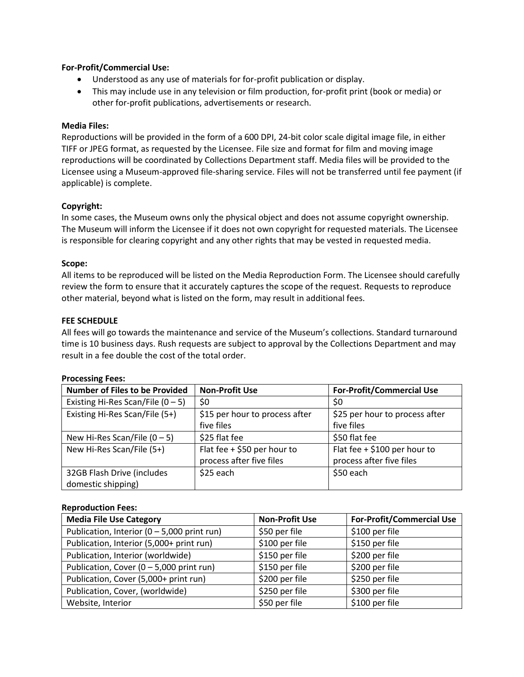### **For-Profit/Commercial Use:**

- Understood as any use of materials for for-profit publication or display.
- This may include use in any television or film production, for-profit print (book or media) or other for-profit publications, advertisements or research.

# **Media Files:**

Reproductions will be provided in the form of a 600 DPI, 24-bit color scale digital image file, in either TIFF or JPEG format, as requested by the Licensee. File size and format for film and moving image reproductions will be coordinated by Collections Department staff. Media files will be provided to the Licensee using a Museum-approved file-sharing service. Files will not be transferred until fee payment (if applicable) is complete.

# **Copyright:**

In some cases, the Museum owns only the physical object and does not assume copyright ownership. The Museum will inform the Licensee if it does not own copyright for requested materials. The Licensee is responsible for clearing copyright and any other rights that may be vested in requested media.

# **Scope:**

All items to be reproduced will be listed on the Media Reproduction Form. The Licensee should carefully review the form to ensure that it accurately captures the scope of the request. Requests to reproduce other material, beyond what is listed on the form, may result in additional fees.

# **FEE SCHEDULE**

All fees will go towards the maintenance and service of the Museum's collections. Standard turnaround time is 10 business days. Rush requests are subject to approval by the Collections Department and may result in a fee double the cost of the total order.

### **Processing Fees:**

| <b>Number of Files to be Provided</b> | <b>Non-Profit Use</b>          | <b>For-Profit/Commercial Use</b> |
|---------------------------------------|--------------------------------|----------------------------------|
| Existing Hi-Res Scan/File $(0 - 5)$   | \$0                            | \$0                              |
| Existing Hi-Res Scan/File (5+)        | \$15 per hour to process after | \$25 per hour to process after   |
|                                       | five files                     | five files                       |
| New Hi-Res Scan/File $(0 - 5)$        | \$25 flat fee                  | \$50 flat fee                    |
| New Hi-Res Scan/File (5+)             | Flat fee $+$ \$50 per hour to  | Flat fee + $$100$ per hour to    |
|                                       | process after five files       | process after five files         |
| 32GB Flash Drive (includes            | \$25 each                      | \$50 each                        |
| domestic shipping)                    |                                |                                  |

### **Reproduction Fees:**

| <b>Media File Use Category</b>                | <b>Non-Profit Use</b> | <b>For-Profit/Commercial Use</b> |
|-----------------------------------------------|-----------------------|----------------------------------|
| Publication, Interior $(0 - 5,000$ print run) | \$50 per file         | \$100 per file                   |
| Publication, Interior (5,000+ print run)      | \$100 per file        | \$150 per file                   |
| Publication, Interior (worldwide)             | \$150 per file        | \$200 per file                   |
| Publication, Cover $(0 - 5,000$ print run)    | \$150 per file        | \$200 per file                   |
| Publication, Cover (5,000+ print run)         | \$200 per file        | \$250 per file                   |
| Publication, Cover, (worldwide)               | \$250 per file        | \$300 per file                   |
| Website, Interior                             | \$50 per file         | \$100 per file                   |